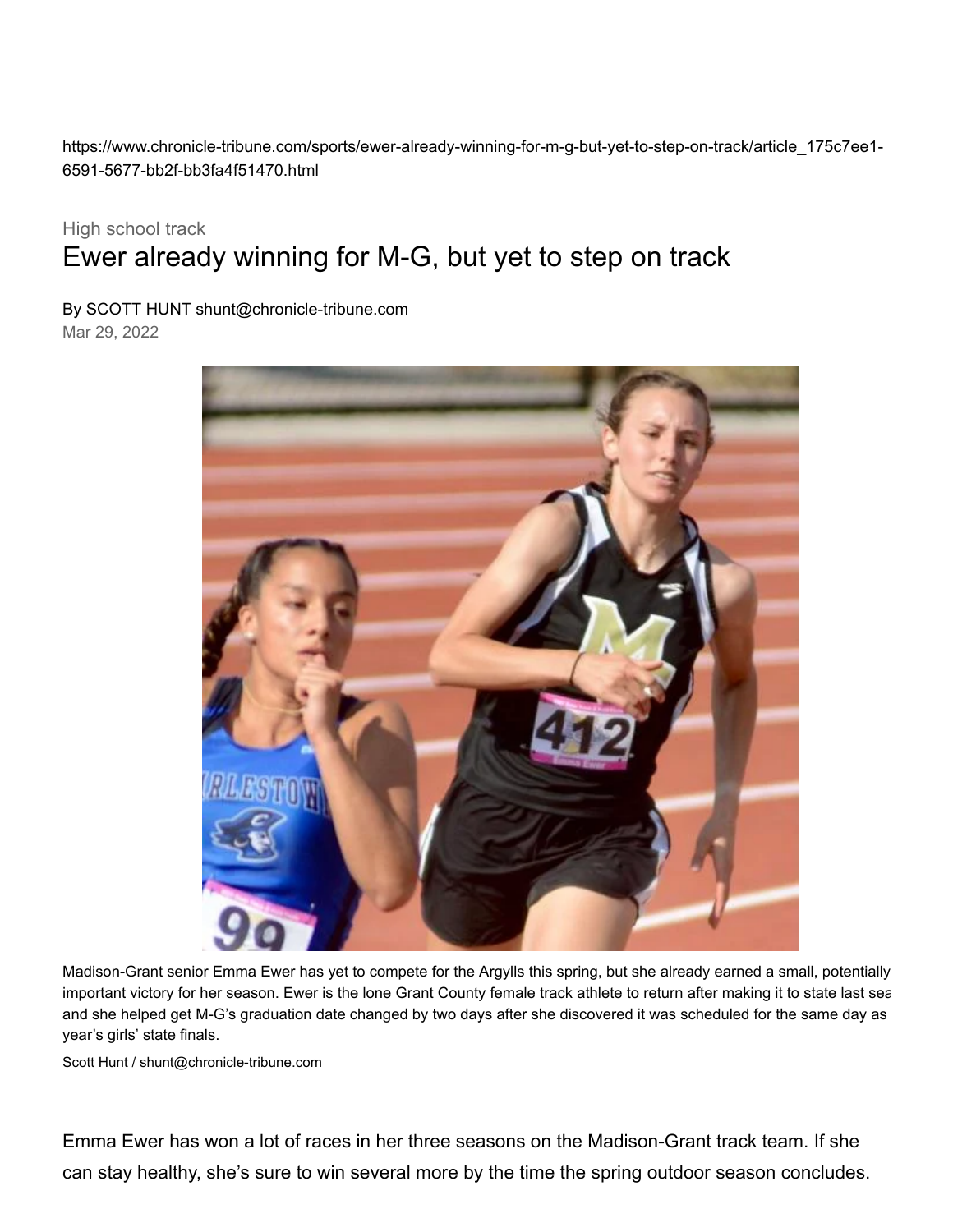https://www.chronicle-tribune.com/sports/ewer-already-winning-for-m-g-but-yet-to-step-on-track/article\_175c7ee1- 6591-5677-bb2f-bb3fa4f51470.html

## High school track Ewer already winning for M-G, but yet to step on track

By SCOTT HUNT [shunt@chronicle-tribune.com](https://www.chronicle-tribune.com/users/profile/Scott%20Hunt)

Mar 29, 2022



Madison-Grant senior Emma Ewer has yet to compete for the Argylls this spring, but she already earned a small, potentially important victory for her season. Ewer is the lone Grant County female track athlete to return after making it to state last sea and she helped get M-G's graduation date changed by two days after she discovered it was scheduled for the same day as year's girls' state finals.

[Scott Hunt / shunt@chronicle-tribune.com](https://www.chronicle-tribune.com/users/profile/Scott%20Hunt)

Emma Ewer has won a lot of races in her three seasons on the Madison-Grant track team. If she can stay healthy, she's sure to win several more by the time the spring outdoor season concludes.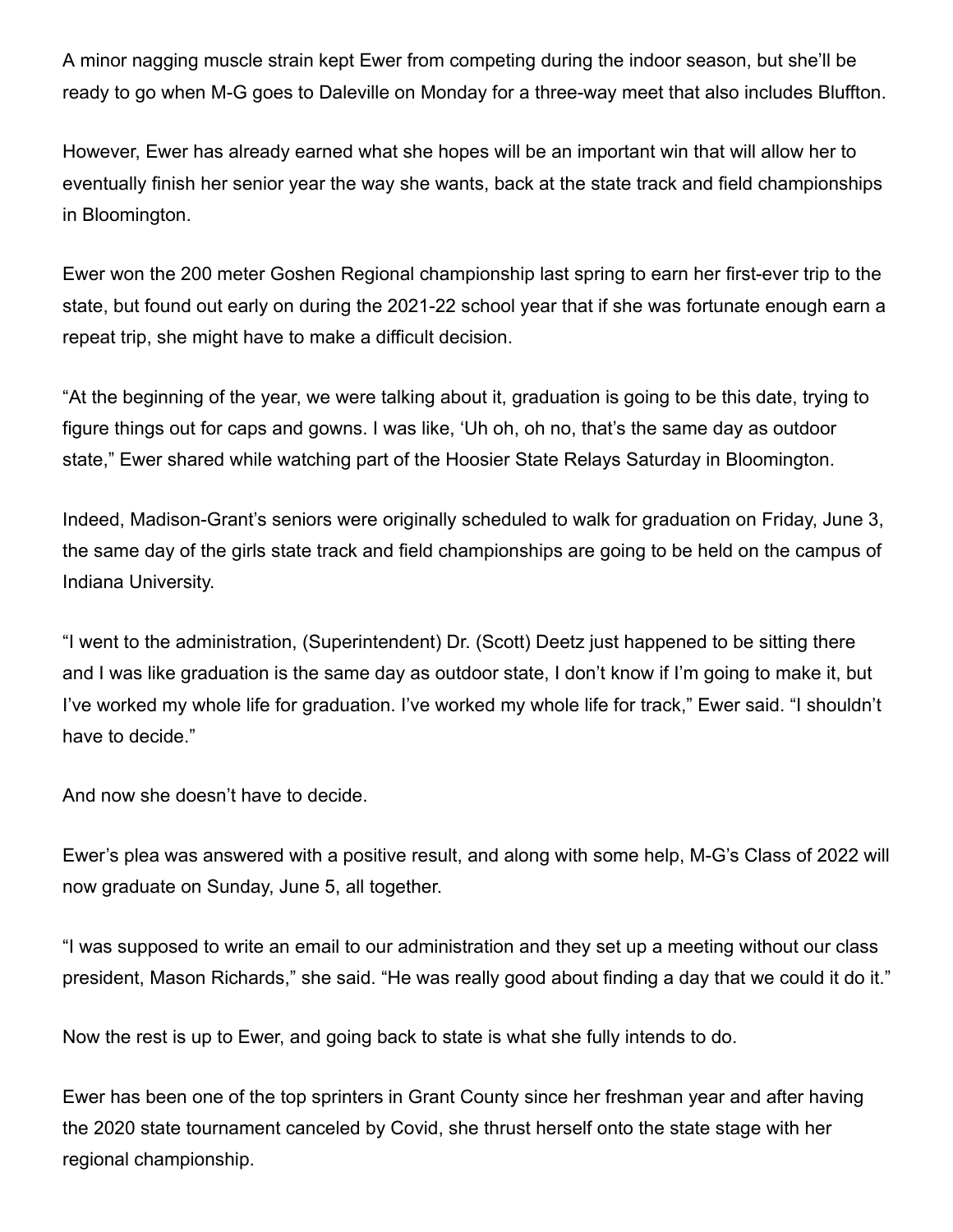A minor nagging muscle strain kept Ewer from competing during the indoor season, but she'll be ready to go when M-G goes to Daleville on Monday for a three-way meet that also includes Bluffton.

However, Ewer has already earned what she hopes will be an important win that will allow her to eventually finish her senior year the way she wants, back at the state track and field championships in Bloomington.

Ewer won the 200 meter Goshen Regional championship last spring to earn her first-ever trip to the state, but found out early on during the 2021-22 school year that if she was fortunate enough earn a repeat trip, she might have to make a difficult decision.

"At the beginning of the year, we were talking about it, graduation is going to be this date, trying to figure things out for caps and gowns. I was like, 'Uh oh, oh no, that's the same day as outdoor state," Ewer shared while watching part of the Hoosier State Relays Saturday in Bloomington.

Indeed, Madison-Grant's seniors were originally scheduled to walk for graduation on Friday, June 3, the same day of the girls state track and field championships are going to be held on the campus of Indiana University.

"I went to the administration, (Superintendent) Dr. (Scott) Deetz just happened to be sitting there and I was like graduation is the same day as outdoor state, I don't know if I'm going to make it, but I've worked my whole life for graduation. I've worked my whole life for track," Ewer said. "I shouldn't have to decide."

And now she doesn't have to decide.

Ewer's plea was answered with a positive result, and along with some help, M-G's Class of 2022 will now graduate on Sunday, June 5, all together.

"I was supposed to write an email to our administration and they set up a meeting without our class president, Mason Richards," she said. "He was really good about finding a day that we could it do it."

Now the rest is up to Ewer, and going back to state is what she fully intends to do.

Ewer has been one of the top sprinters in Grant County since her freshman year and after having the 2020 state tournament canceled by Covid, she thrust herself onto the state stage with her regional championship.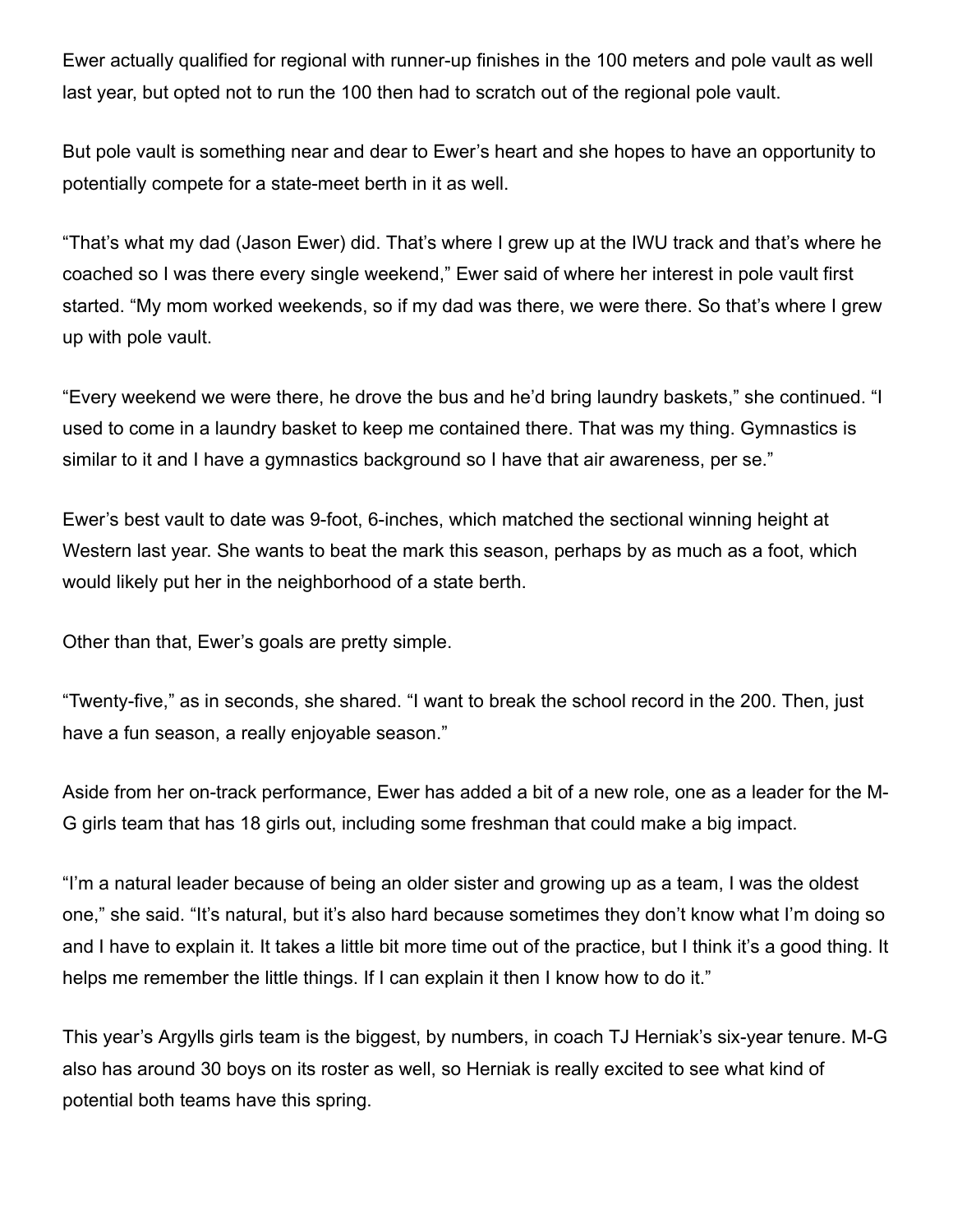Ewer actually qualified for regional with runner-up finishes in the 100 meters and pole vault as well last year, but opted not to run the 100 then had to scratch out of the regional pole vault.

But pole vault is something near and dear to Ewer's heart and she hopes to have an opportunity to potentially compete for a state-meet berth in it as well.

"That's what my dad (Jason Ewer) did. That's where I grew up at the IWU track and that's where he coached so I was there every single weekend," Ewer said of where her interest in pole vault first started. "My mom worked weekends, so if my dad was there, we were there. So that's where I grew up with pole vault.

"Every weekend we were there, he drove the bus and he'd bring laundry baskets," she continued. "I used to come in a laundry basket to keep me contained there. That was my thing. Gymnastics is similar to it and I have a gymnastics background so I have that air awareness, per se."

Ewer's best vault to date was 9-foot, 6-inches, which matched the sectional winning height at Western last year. She wants to beat the mark this season, perhaps by as much as a foot, which would likely put her in the neighborhood of a state berth.

Other than that, Ewer's goals are pretty simple.

"Twenty-five," as in seconds, she shared. "I want to break the school record in the 200. Then, just have a fun season, a really enjoyable season."

Aside from her on-track performance, Ewer has added a bit of a new role, one as a leader for the M-G girls team that has 18 girls out, including some freshman that could make a big impact.

"I'm a natural leader because of being an older sister and growing up as a team, I was the oldest one," she said. "It's natural, but it's also hard because sometimes they don't know what I'm doing so and I have to explain it. It takes a little bit more time out of the practice, but I think it's a good thing. It helps me remember the little things. If I can explain it then I know how to do it."

This year's Argylls girls team is the biggest, by numbers, in coach TJ Herniak's six-year tenure. M-G also has around 30 boys on its roster as well, so Herniak is really excited to see what kind of potential both teams have this spring.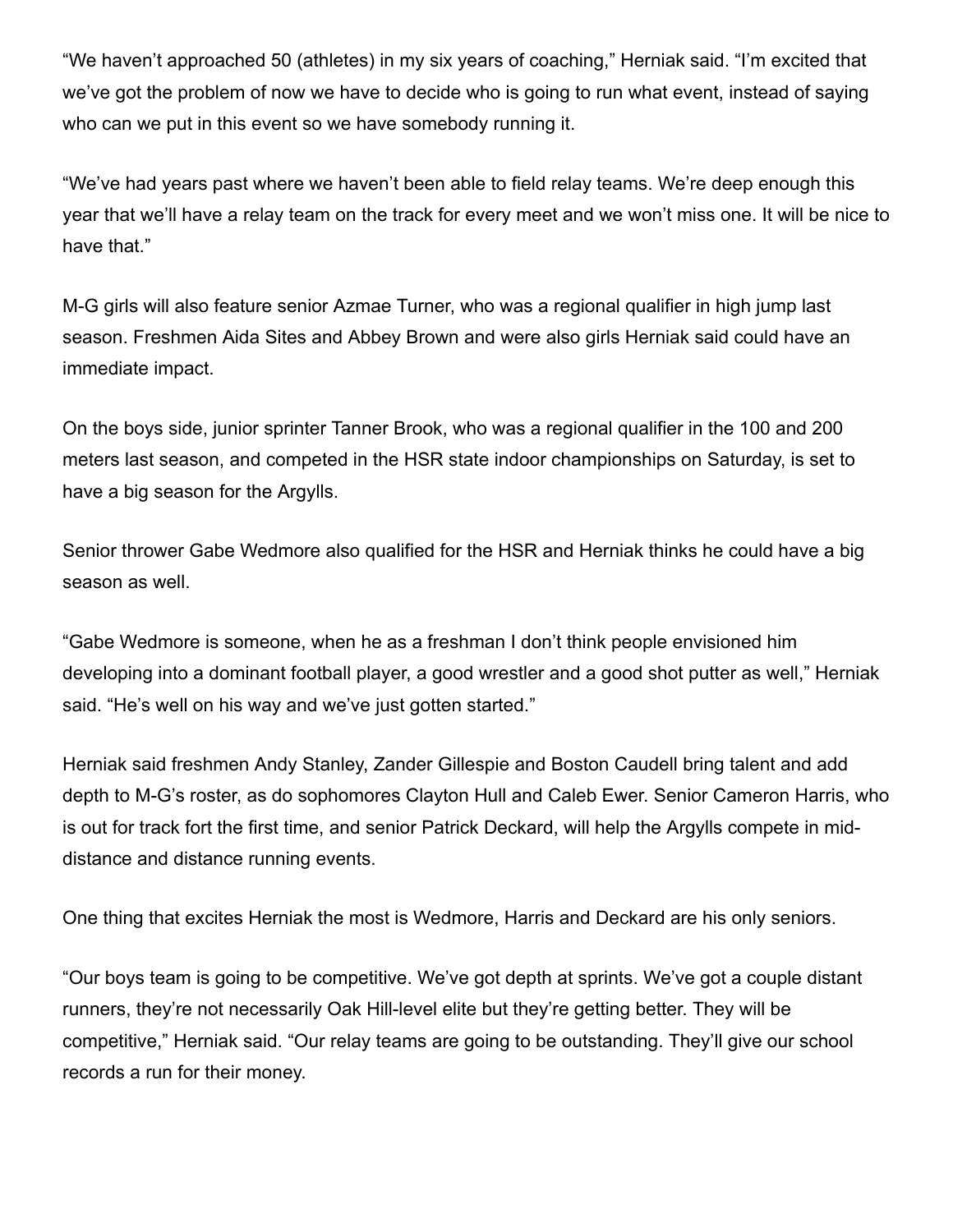"We haven't approached 50 (athletes) in my six years of coaching," Herniak said. "I'm excited that we've got the problem of now we have to decide who is going to run what event, instead of saying who can we put in this event so we have somebody running it.

"We've had years past where we haven't been able to field relay teams. We're deep enough this year that we'll have a relay team on the track for every meet and we won't miss one. It will be nice to have that."

M-G girls will also feature senior Azmae Turner, who was a regional qualifier in high jump last season. Freshmen Aida Sites and Abbey Brown and were also girls Herniak said could have an immediate impact.

On the boys side, junior sprinter Tanner Brook, who was a regional qualifier in the 100 and 200 meters last season, and competed in the HSR state indoor championships on Saturday, is set to have a big season for the Argylls.

Senior thrower Gabe Wedmore also qualified for the HSR and Herniak thinks he could have a big season as well.

"Gabe Wedmore is someone, when he as a freshman I don't think people envisioned him developing into a dominant football player, a good wrestler and a good shot putter as well," Herniak said. "He's well on his way and we've just gotten started."

Herniak said freshmen Andy Stanley, Zander Gillespie and Boston Caudell bring talent and add depth to M-G's roster, as do sophomores Clayton Hull and Caleb Ewer. Senior Cameron Harris, who is out for track fort the first time, and senior Patrick Deckard, will help the Argylls compete in middistance and distance running events.

One thing that excites Herniak the most is Wedmore, Harris and Deckard are his only seniors.

"Our boys team is going to be competitive. We've got depth at sprints. We've got a couple distant runners, they're not necessarily Oak Hill-level elite but they're getting better. They will be competitive," Herniak said. "Our relay teams are going to be outstanding. They'll give our school records a run for their money.